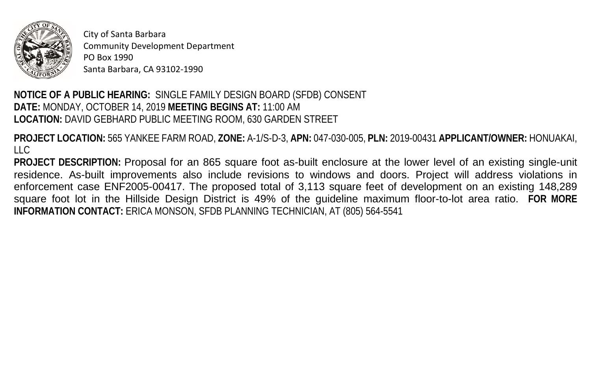

City of Santa Barbara Community Development Department PO Box 1990 Santa Barbara, CA 93102-1990

## **NOTICE OF A PUBLIC HEARING:** SINGLE FAMILY DESIGN BOARD (SFDB) CONSENT  **DATE:** MONDAY, OCTOBER 14, 2019 **MEETING BEGINS AT:** 11:00 AM **LOCATION:** DAVID GEBHARD PUBLIC MEETING ROOM, 630 GARDEN STREET

 LLC **PROJECT LOCATION:** 565 YANKEE FARM ROAD, **ZONE:** A-1/S-D-3, **APN:** 047-030-005, **PLN:** 2019-00431 **APPLICANT/OWNER:** HONUAKAI,

 **PROJECT DESCRIPTION:** Proposal for an 865 square foot as-built enclosure at the lower level of an existing single-unit residence. As-built improvements also include revisions to windows and doors. Project will address violations in enforcement case ENF2005-00417. The proposed total of 3,113 square feet of development on an existing 148,289 square foot lot in the Hillside Design District is 49% of the guideline maximum floor-to-lot area ratio. **FOR MORE INFORMATION CONTACT:** ERICA MONSON, SFDB PLANNING TECHNICIAN, AT (805) 564-5541